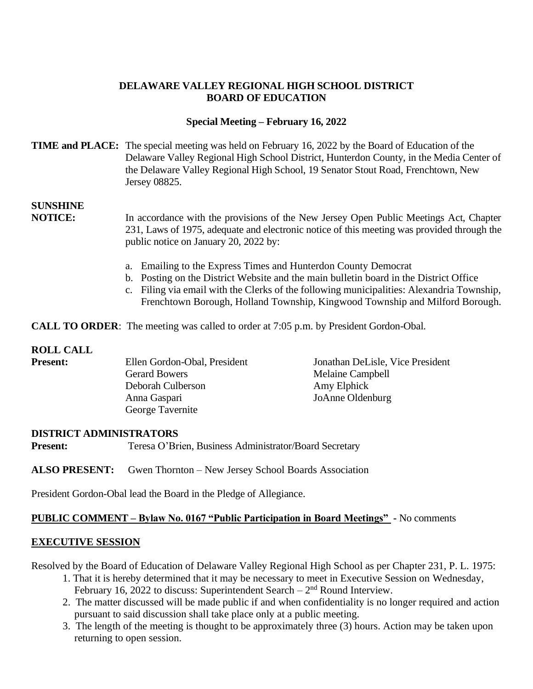## **DELAWARE VALLEY REGIONAL HIGH SCHOOL DISTRICT BOARD OF EDUCATION**

### **Special Meeting – February 16, 2022**

### **TIME and PLACE:** The special meeting was held on February 16, 2022 by the Board of Education of the Delaware Valley Regional High School District, Hunterdon County, in the Media Center of the Delaware Valley Regional High School, 19 Senator Stout Road, Frenchtown, New Jersey 08825.

# **SUNSHINE**

**NOTICE:** In accordance with the provisions of the New Jersey Open Public Meetings Act, Chapter 231, Laws of 1975, adequate and electronic notice of this meeting was provided through the public notice on January 20, 2022 by:

- a. Emailing to the Express Times and Hunterdon County Democrat
- b. Posting on the District Website and the main bulletin board in the District Office
- c. Filing via email with the Clerks of the following municipalities: Alexandria Township, Frenchtown Borough, Holland Township, Kingwood Township and Milford Borough.

**CALL TO ORDER:** The meeting was called to order at 7:05 p.m. by President Gordon-Obal.

## **ROLL CALL**

| <b>Present:</b> | Ellen Gordon-Obal, President | Jonathan DeLisle, Vice President |
|-----------------|------------------------------|----------------------------------|
|                 | <b>Gerard Bowers</b>         | Melaine Campbell                 |
|                 | Deborah Culberson            | Amy Elphick                      |
|                 | Anna Gaspari                 | JoAnne Oldenburg                 |
|                 | George Tavernite             |                                  |

#### **DISTRICT ADMINISTRATORS**

**Present:** Teresa O'Brien, Business Administrator/Board Secretary

**ALSO PRESENT:** Gwen Thornton – New Jersey School Boards Association

President Gordon-Obal lead the Board in the Pledge of Allegiance.

#### **PUBLIC COMMENT – Bylaw No. 0167 "Public Participation in Board Meetings" -** No comments

#### **EXECUTIVE SESSION**

Resolved by the Board of Education of Delaware Valley Regional High School as per Chapter 231, P. L. 1975:

- 1. That it is hereby determined that it may be necessary to meet in Executive Session on Wednesday, February 16, 2022 to discuss: Superintendent Search  $-2<sup>nd</sup>$  Round Interview.
- 2. The matter discussed will be made public if and when confidentiality is no longer required and action pursuant to said discussion shall take place only at a public meeting.
- 3. The length of the meeting is thought to be approximately three (3) hours. Action may be taken upon returning to open session.